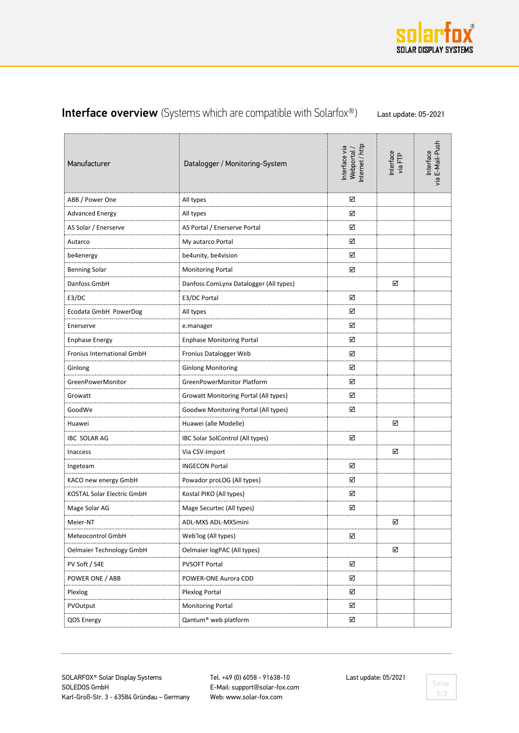

## Interface overview (Systems which are compatible with Solarfox®) Last update: 05-2021

| Manufacturer               | Datalogger / Monitoring-System         | nternet / http<br>Interface via<br>Webportal, | Interface<br>via FTP | via E-Mail-Push<br>Interface |
|----------------------------|----------------------------------------|-----------------------------------------------|----------------------|------------------------------|
| ABB / Power One            | All types                              | ☑                                             |                      |                              |
| <b>Advanced Energy</b>     | ☑<br>All types                         |                                               |                      |                              |
| AS Solar / Enerserve       | AS Portal / Enerserve Portal           | ☑                                             |                      |                              |
| Autarco                    | My autarco Portal                      | ☑                                             |                      |                              |
| be4energy                  | be4unity, be4vision                    | ☑                                             |                      |                              |
| <b>Benning Solar</b>       | <b>Monitoring Portal</b>               | ☑                                             |                      |                              |
| Danfoss GmbH               | Danfoss ComLynx Datalogger (All types) |                                               | ☑                    |                              |
| E3/DC                      | ☑<br>E3/DC Portal                      |                                               |                      |                              |
| Ecodata GmbH PowerDog      | ☑<br>All types                         |                                               |                      |                              |
| Enerserve                  | ☑<br>e.manager                         |                                               |                      |                              |
| <b>Enphase Energy</b>      | <b>Enphase Monitoring Portal</b>       | ☑                                             |                      |                              |
| Fronius International GmbH | ☑<br>Fronius Datalogger Web            |                                               |                      |                              |
| Ginlong                    | ☑<br><b>Ginlong Monitoring</b>         |                                               |                      |                              |
| GreenPowerMonitor          | GreenPowerMonitor Platform<br>☑        |                                               |                      |                              |
| Growatt                    | Growatt Monitoring Portal (All types)  | ☑                                             |                      |                              |
| GoodWe                     | Goodwe Monitoring Portal (All types)   | ☑                                             |                      |                              |
| Huawei                     | Huawei (alle Modelle)                  |                                               | ☑                    |                              |
| <b>IBC SOLAR AG</b>        | IBC Solar SolControl (All types)       | ☑                                             |                      |                              |
| <b>Inaccess</b>            | Via CSV-Import                         |                                               | ☑                    |                              |
| Ingeteam                   | <b>INGECON Portal</b>                  | ☑                                             |                      |                              |
| KACO new energy GmbH       | Powador proLOG (All types)             | ☑                                             |                      |                              |
| KOSTAL Solar Electric GmbH | Kostal PIKO (All types)                | ☑                                             |                      |                              |
| Mage Solar AG              | Mage Securtec (All types)              | ☑                                             |                      |                              |
| Meier-NT                   | ADL-MXS ADL-MXSmini                    |                                               | ☑                    |                              |
| Meteocontrol GmbH          | Web'log (All types)                    | ☑                                             |                      |                              |
| Oelmaier Technology GmbH   | Oelmaier logPAC (All types)            |                                               | ☑                    |                              |
| PV Soft / S4E              | ☑<br><b>PVSOFT Portal</b>              |                                               |                      |                              |
| POWER ONE / ABB            | POWER-ONE Aurora CDD                   | ☑                                             |                      |                              |
| Plexlog                    | Plexlog Portal<br>☑                    |                                               |                      |                              |
| PVOutput                   | <b>Monitoring Portal</b>               | ☑                                             |                      |                              |
| QOS Energy                 | Qantum® web platform                   | ☑                                             |                      |                              |